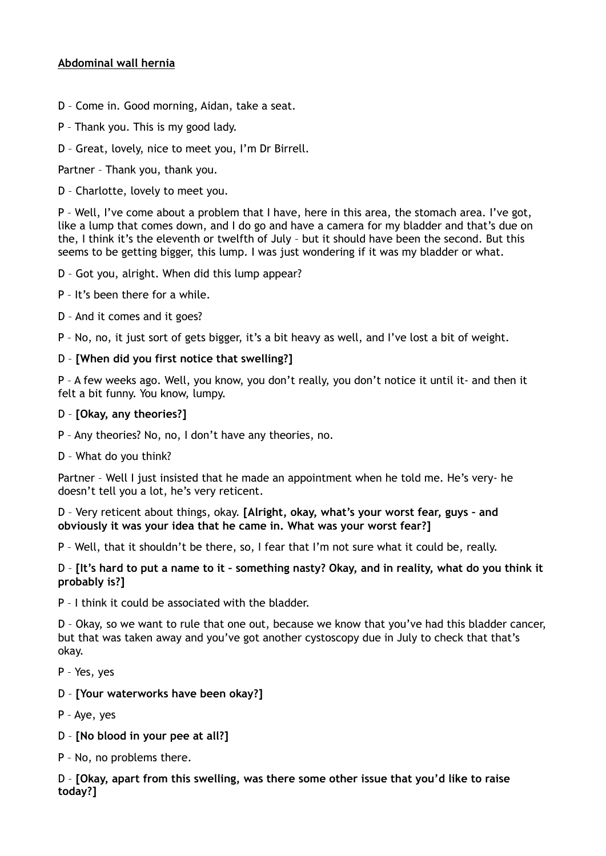# **Abdominal wall hernia**

- D Come in. Good morning, Aidan, take a seat.
- P Thank you. This is my good lady.
- D Great, lovely, nice to meet you, I'm Dr Birrell.

Partner – Thank you, thank you.

D – Charlotte, lovely to meet you.

P – Well, I've come about a problem that I have, here in this area, the stomach area. I've got, like a lump that comes down, and I do go and have a camera for my bladder and that's due on the, I think it's the eleventh or twelfth of July – but it should have been the second. But this seems to be getting bigger, this lump. I was just wondering if it was my bladder or what.

- D Got you, alright. When did this lump appear?
- P It's been there for a while.
- D And it comes and it goes?

P – No, no, it just sort of gets bigger, it's a bit heavy as well, and I've lost a bit of weight.

# D – **[When did you first notice that swelling?]**

P – A few weeks ago. Well, you know, you don't really, you don't notice it until it- and then it felt a bit funny. You know, lumpy.

# D – **[Okay, any theories?]**

- P Any theories? No, no, I don't have any theories, no.
- D What do you think?

Partner – Well I just insisted that he made an appointment when he told me. He's very- he doesn't tell you a lot, he's very reticent.

D – Very reticent about things, okay. **[Alright, okay, what's your worst fear, guys – and obviously it was your idea that he came in. What was your worst fear?]** 

P – Well, that it shouldn't be there, so, I fear that I'm not sure what it could be, really.

D – **[It's hard to put a name to it – something nasty? Okay, and in reality, what do you think it probably is?]** 

P – I think it could be associated with the bladder.

D – Okay, so we want to rule that one out, because we know that you've had this bladder cancer, but that was taken away and you've got another cystoscopy due in July to check that that's okay.

- P Yes, yes
- D **[Your waterworks have been okay?]**
- P Aye, yes
- D **[No blood in your pee at all?]**
- P No, no problems there.

D – **[Okay, apart from this swelling, was there some other issue that you'd like to raise today?]**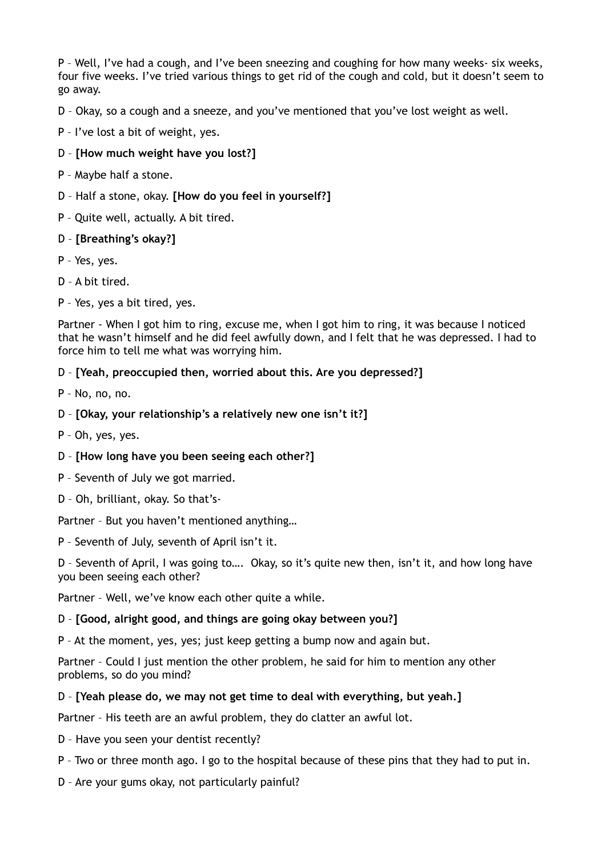P – Well, I've had a cough, and I've been sneezing and coughing for how many weeks- six weeks, four five weeks. I've tried various things to get rid of the cough and cold, but it doesn't seem to go away.

D – Okay, so a cough and a sneeze, and you've mentioned that you've lost weight as well.

- P I've lost a bit of weight, yes.
- D **[How much weight have you lost?]**
- P Maybe half a stone.
- D Half a stone, okay. **[How do you feel in yourself?]**
- P Quite well, actually. A bit tired.
- D **[Breathing's okay?]**
- P Yes, yes.
- D A bit tired.
- P Yes, yes a bit tired, yes.

Partner - When I got him to ring, excuse me, when I got him to ring, it was because I noticed that he wasn't himself and he did feel awfully down, and I felt that he was depressed. I had to force him to tell me what was worrying him.

# D – **[Yeah, preoccupied then, worried about this. Are you depressed?]**

P – No, no, no.

# D – **[Okay, your relationship's a relatively new one isn't it?]**

- P Oh, yes, yes.
- D **[How long have you been seeing each other?]**
- P Seventh of July we got married.
- D Oh, brilliant, okay. So that's-

Partner – But you haven't mentioned anything…

P – Seventh of July, seventh of April isn't it.

D – Seventh of April, I was going to…. Okay, so it's quite new then, isn't it, and how long have you been seeing each other?

Partner – Well, we've know each other quite a while.

### D – **[Good, alright good, and things are going okay between you?]**

P – At the moment, yes, yes; just keep getting a bump now and again but.

Partner – Could I just mention the other problem, he said for him to mention any other problems, so do you mind?

### D – **[Yeah please do, we may not get time to deal with everything, but yeah.]**

Partner – His teeth are an awful problem, they do clatter an awful lot.

- D Have you seen your dentist recently?
- P Two or three month ago. I go to the hospital because of these pins that they had to put in.
- D Are your gums okay, not particularly painful?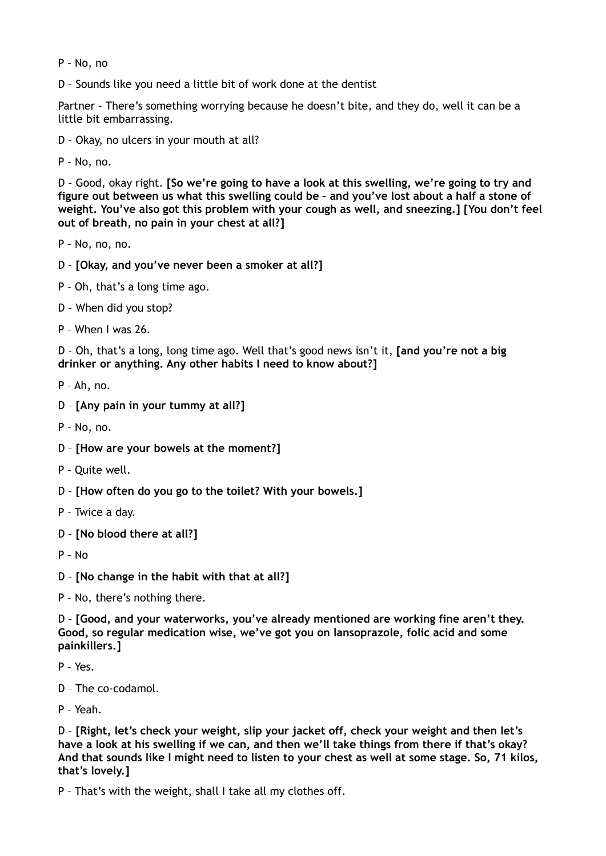P – No, no

D – Sounds like you need a little bit of work done at the dentist

Partner – There's something worrying because he doesn't bite, and they do, well it can be a little bit embarrassing.

D – Okay, no ulcers in your mouth at all?

P – No, no.

D – Good, okay right. **[So we're going to have a look at this swelling, we're going to try and figure out between us what this swelling could be – and you've lost about a half a stone of weight. You've also got this problem with your cough as well, and sneezing.] [You don't feel out of breath, no pain in your chest at all?]** 

P – No, no, no.

- D **[Okay, and you've never been a smoker at all?]**
- P Oh, that's a long time ago.
- D When did you stop?
- P When I was 26.

D – Oh, that's a long, long time ago. Well that's good news isn't it, **[and you're not a big drinker or anything. Any other habits I need to know about?]** 

P – Ah, no.

- D **[Any pain in your tummy at all?]**
- P No, no.
- D **[How are your bowels at the moment?]**
- P Quite well.
- D **[How often do you go to the toilet? With your bowels.]**
- P Twice a day.
- D **[No blood there at all?]**
- P No
- D **[No change in the habit with that at all?]**

P – No, there's nothing there.

D – **[Good, and your waterworks, you've already mentioned are working fine aren't they. Good, so regular medication wise, we've got you on lansoprazole, folic acid and some painkillers.]** 

- P Yes.
- D The co-codamol.

P – Yeah.

D – **[Right, let's check your weight, slip your jacket off, check your weight and then let's have a look at his swelling if we can, and then we'll take things from there if that's okay? And that sounds like I might need to listen to your chest as well at some stage. So, 71 kilos, that's lovely.]** 

P – That's with the weight, shall I take all my clothes off.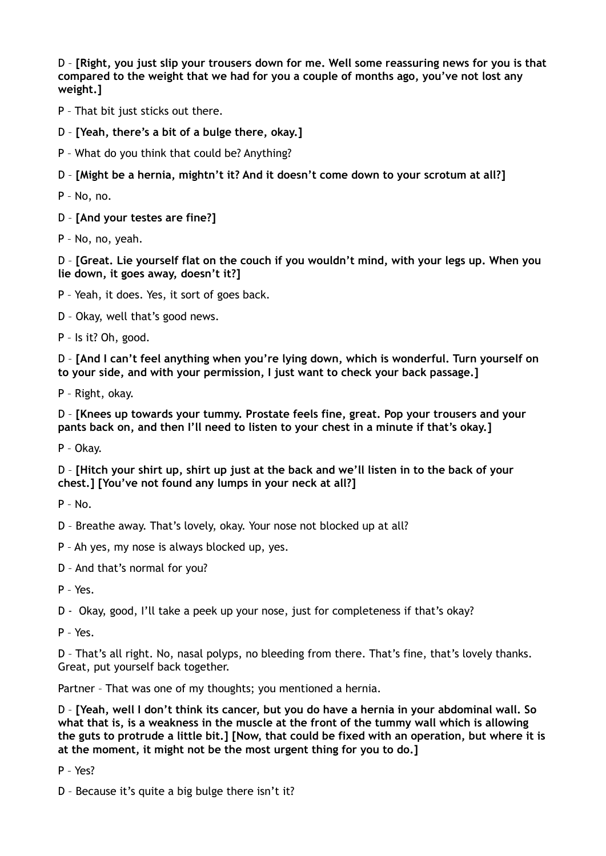D – **[Right, you just slip your trousers down for me. Well some reassuring news for you is that compared to the weight that we had for you a couple of months ago, you've not lost any weight.]** 

P – That bit just sticks out there.

D – **[Yeah, there's a bit of a bulge there, okay.]** 

P – What do you think that could be? Anything?

D – **[Might be a hernia, mightn't it? And it doesn't come down to your scrotum at all?]** 

P – No, no.

D – **[And your testes are fine?]** 

P – No, no, yeah.

D – **[Great. Lie yourself flat on the couch if you wouldn't mind, with your legs up. When you lie down, it goes away, doesn't it?]** 

P – Yeah, it does. Yes, it sort of goes back.

D – Okay, well that's good news.

P – Is it? Oh, good.

D – **[And I can't feel anything when you're lying down, which is wonderful. Turn yourself on to your side, and with your permission, I just want to check your back passage.]** 

P – Right, okay.

D – **[Knees up towards your tummy. Prostate feels fine, great. Pop your trousers and your pants back on, and then I'll need to listen to your chest in a minute if that's okay.]** 

P – Okay.

D – **[Hitch your shirt up, shirt up just at the back and we'll listen in to the back of your chest.] [You've not found any lumps in your neck at all?]** 

P – No.

D – Breathe away. That's lovely, okay. Your nose not blocked up at all?

P – Ah yes, my nose is always blocked up, yes.

D – And that's normal for you?

P – Yes.

D - Okay, good, I'll take a peek up your nose, just for completeness if that's okay?

P – Yes.

D – That's all right. No, nasal polyps, no bleeding from there. That's fine, that's lovely thanks. Great, put yourself back together.

Partner – That was one of my thoughts; you mentioned a hernia.

D – **[Yeah, well I don't think its cancer, but you do have a hernia in your abdominal wall. So what that is, is a weakness in the muscle at the front of the tummy wall which is allowing the guts to protrude a little bit.] [Now, that could be fixed with an operation, but where it is at the moment, it might not be the most urgent thing for you to do.]** 

P – Yes?

D – Because it's quite a big bulge there isn't it?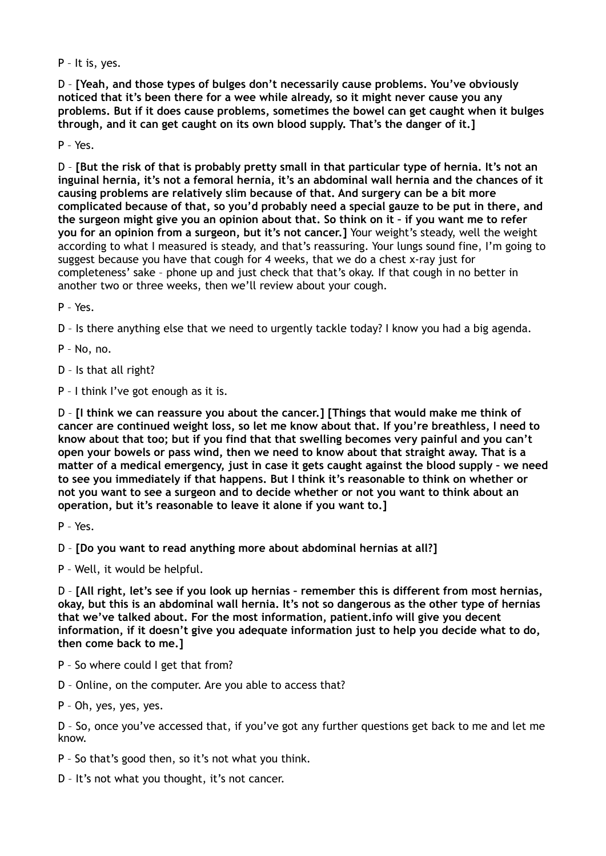P – It is, yes.

D – **[Yeah, and those types of bulges don't necessarily cause problems. You've obviously noticed that it's been there for a wee while already, so it might never cause you any problems. But if it does cause problems, sometimes the bowel can get caught when it bulges through, and it can get caught on its own blood supply. That's the danger of it.]** 

P – Yes.

D – **[But the risk of that is probably pretty small in that particular type of hernia. It's not an inguinal hernia, it's not a femoral hernia, it's an abdominal wall hernia and the chances of it causing problems are relatively slim because of that. And surgery can be a bit more complicated because of that, so you'd probably need a special gauze to be put in there, and the surgeon might give you an opinion about that. So think on it – if you want me to refer you for an opinion from a surgeon, but it's not cancer.]** Your weight's steady, well the weight according to what I measured is steady, and that's reassuring. Your lungs sound fine, I'm going to suggest because you have that cough for 4 weeks, that we do a chest x-ray just for completeness' sake – phone up and just check that that's okay. If that cough in no better in another two or three weeks, then we'll review about your cough.

P – Yes.

D – Is there anything else that we need to urgently tackle today? I know you had a big agenda.

P – No, no.

D – Is that all right?

P – I think I've got enough as it is.

D – **[I think we can reassure you about the cancer.] [Things that would make me think of cancer are continued weight loss, so let me know about that. If you're breathless, I need to know about that too; but if you find that that swelling becomes very painful and you can't open your bowels or pass wind, then we need to know about that straight away. That is a matter of a medical emergency, just in case it gets caught against the blood supply – we need to see you immediately if that happens. But I think it's reasonable to think on whether or not you want to see a surgeon and to decide whether or not you want to think about an operation, but it's reasonable to leave it alone if you want to.]** 

P – Yes.

D – **[Do you want to read anything more about abdominal hernias at all?]** 

P – Well, it would be helpful.

D – **[All right, let's see if you look up hernias – remember this is different from most hernias, okay, but this is an abdominal wall hernia. It's not so dangerous as the other type of hernias that we've talked about. For the most information, patient.info will give you decent information, if it doesn't give you adequate information just to help you decide what to do, then come back to me.]** 

P – So where could I get that from?

D – Online, on the computer. Are you able to access that?

P – Oh, yes, yes, yes.

D – So, once you've accessed that, if you've got any further questions get back to me and let me know.

P – So that's good then, so it's not what you think.

D – It's not what you thought, it's not cancer.